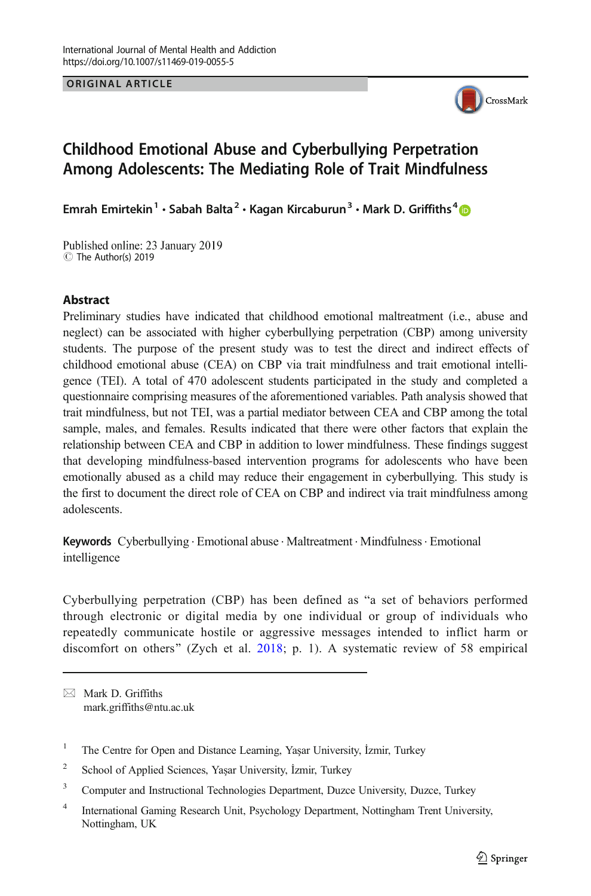ORIGINAL ARTICLE



# Childhood Emotional Abuse and Cyberbullying Perpetration Among Adolescents: The Mediating Role of Trait Mindfulness

Emrah Emirtekin<sup>1</sup> · Sabah Balta<sup>2</sup> · Kagan Kircaburun<sup>3</sup> · Mark D. Griffiths<sup>4</sup>

Published online: 23 January 2019 C The Author(s) 2019

#### **Abstract**

Preliminary studies have indicated that childhood emotional maltreatment (i.e., abuse and neglect) can be associated with higher cyberbullying perpetration (CBP) among university students. The purpose of the present study was to test the direct and indirect effects of childhood emotional abuse (CEA) on CBP via trait mindfulness and trait emotional intelligence (TEI). A total of 470 adolescent students participated in the study and completed a questionnaire comprising measures of the aforementioned variables. Path analysis showed that trait mindfulness, but not TEI, was a partial mediator between CEA and CBP among the total sample, males, and females. Results indicated that there were other factors that explain the relationship between CEA and CBP in addition to lower mindfulness. These findings suggest that developing mindfulness-based intervention programs for adolescents who have been emotionally abused as a child may reduce their engagement in cyberbullying. This study is the first to document the direct role of CEA on CBP and indirect via trait mindfulness among adolescents.

Keywords Cyberbullying · Emotional abuse · Maltreatment · Mindfulness · Emotional intelligence

Cyberbullying perpetration (CBP) has been defined as "a set of behaviors performed through electronic or digital media by one individual or group of individuals who repeatedly communicate hostile or aggressive messages intended to inflict harm or discomfort on others" (Zych et al. [2018;](#page-11-0) p. 1). A systematic review of 58 empirical

 $\boxtimes$  Mark D. Griffiths [mark.griffiths@ntu.ac.uk](mailto:mark.griffiths@ntu.ac.uk)

- <sup>1</sup> The Centre for Open and Distance Learning, Yaşar University, İzmir, Turkey
- <sup>2</sup> School of Applied Sciences, Yaşar University, İzmir, Turkey
- <sup>3</sup> Computer and Instructional Technologies Department, Duzce University, Duzce, Turkey

<sup>4</sup> International Gaming Research Unit, Psychology Department, Nottingham Trent University, Nottingham, UK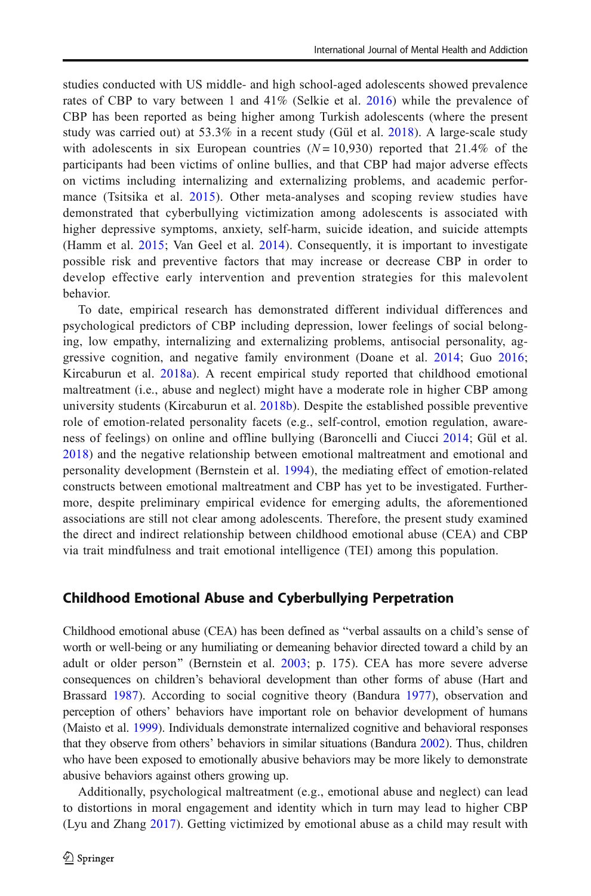studies conducted with US middle- and high school-aged adolescents showed prevalence rates of CBP to vary between 1 and 41% (Selkie et al. [2016\)](#page-11-0) while the prevalence of CBP has been reported as being higher among Turkish adolescents (where the present study was carried out) at 53.3% in a recent study (Gül et al. [2018](#page-10-0)). A large-scale study with adolescents in six European countries  $(N = 10,930)$  reported that 21.4% of the participants had been victims of online bullies, and that CBP had major adverse effects on victims including internalizing and externalizing problems, and academic performance (Tsitsika et al. [2015](#page-11-0)). Other meta-analyses and scoping review studies have demonstrated that cyberbullying victimization among adolescents is associated with higher depressive symptoms, anxiety, self-harm, suicide ideation, and suicide attempts (Hamm et al. [2015](#page-10-0); Van Geel et al. [2014](#page-11-0)). Consequently, it is important to investigate possible risk and preventive factors that may increase or decrease CBP in order to develop effective early intervention and prevention strategies for this malevolent behavior.

To date, empirical research has demonstrated different individual differences and psychological predictors of CBP including depression, lower feelings of social belonging, low empathy, internalizing and externalizing problems, antisocial personality, aggressive cognition, and negative family environment (Doane et al. [2014](#page-9-0); Guo [2016](#page-10-0); Kircaburun et al. [2018a\)](#page-10-0). A recent empirical study reported that childhood emotional maltreatment (i.e., abuse and neglect) might have a moderate role in higher CBP among university students (Kircaburun et al. [2018b\)](#page-10-0). Despite the established possible preventive role of emotion-related personality facets (e.g., self-control, emotion regulation, awareness of feelings) on online and offline bullying (Baroncelli and Ciucci [2014](#page-9-0); Gül et al. [2018](#page-10-0)) and the negative relationship between emotional maltreatment and emotional and personality development (Bernstein et al. [1994\)](#page-9-0), the mediating effect of emotion-related constructs between emotional maltreatment and CBP has yet to be investigated. Furthermore, despite preliminary empirical evidence for emerging adults, the aforementioned associations are still not clear among adolescents. Therefore, the present study examined the direct and indirect relationship between childhood emotional abuse (CEA) and CBP via trait mindfulness and trait emotional intelligence (TEI) among this population.

#### Childhood Emotional Abuse and Cyberbullying Perpetration

Childhood emotional abuse (CEA) has been defined as "verbal assaults on a child's sense of worth or well-being or any humiliating or demeaning behavior directed toward a child by an adult or older person" (Bernstein et al. [2003](#page-9-0); p. 175). CEA has more severe adverse consequences on children's behavioral development than other forms of abuse (Hart and Brassard [1987\)](#page-10-0). According to social cognitive theory (Bandura [1977\)](#page-9-0), observation and perception of others' behaviors have important role on behavior development of humans (Maisto et al. [1999](#page-10-0)). Individuals demonstrate internalized cognitive and behavioral responses that they observe from others' behaviors in similar situations (Bandura [2002](#page-9-0)). Thus, children who have been exposed to emotionally abusive behaviors may be more likely to demonstrate abusive behaviors against others growing up.

Additionally, psychological maltreatment (e.g., emotional abuse and neglect) can lead to distortions in moral engagement and identity which in turn may lead to higher CBP (Lyu and Zhang [2017](#page-10-0)). Getting victimized by emotional abuse as a child may result with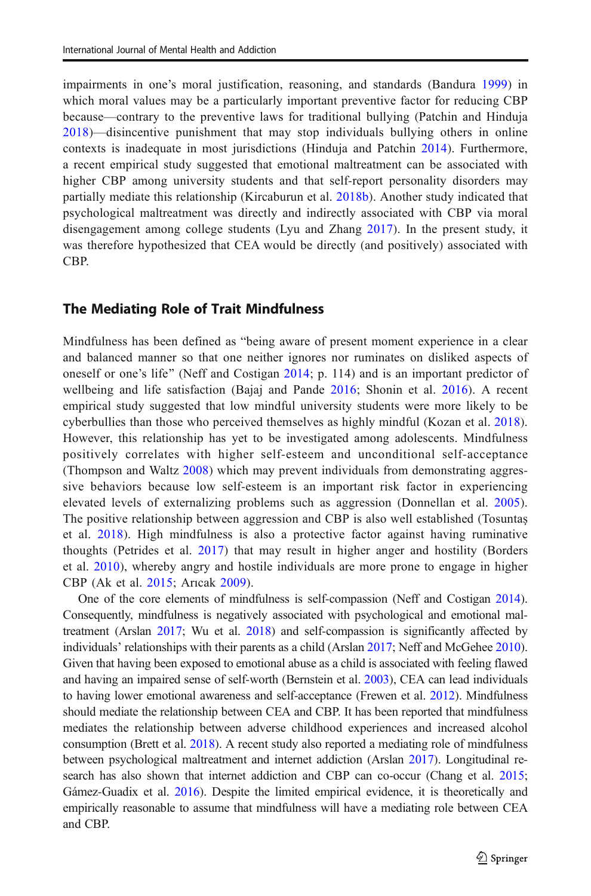impairments in one's moral justification, reasoning, and standards (Bandura [1999\)](#page-9-0) in which moral values may be a particularly important preventive factor for reducing CBP because—contrary to the preventive laws for traditional bullying (Patchin and Hinduja [2018](#page-11-0))—disincentive punishment that may stop individuals bullying others in online contexts is inadequate in most jurisdictions (Hinduja and Patchin [2014\)](#page-10-0). Furthermore, a recent empirical study suggested that emotional maltreatment can be associated with higher CBP among university students and that self-report personality disorders may partially mediate this relationship (Kircaburun et al. [2018b](#page-10-0)). Another study indicated that psychological maltreatment was directly and indirectly associated with CBP via moral disengagement among college students (Lyu and Zhang [2017](#page-10-0)). In the present study, it was therefore hypothesized that CEA would be directly (and positively) associated with CBP.

#### The Mediating Role of Trait Mindfulness

Mindfulness has been defined as "being aware of present moment experience in a clear and balanced manner so that one neither ignores nor ruminates on disliked aspects of oneself or one's life" (Neff and Costigan [2014;](#page-10-0) p. 114) and is an important predictor of wellbeing and life satisfaction (Bajaj and Pande [2016](#page-9-0); Shonin et al. [2016](#page-11-0)). A recent empirical study suggested that low mindful university students were more likely to be cyberbullies than those who perceived themselves as highly mindful (Kozan et al. [2018](#page-10-0)). However, this relationship has yet to be investigated among adolescents. Mindfulness positively correlates with higher self-esteem and unconditional self-acceptance (Thompson and Waltz [2008](#page-11-0)) which may prevent individuals from demonstrating aggressive behaviors because low self-esteem is an important risk factor in experiencing elevated levels of externalizing problems such as aggression (Donnellan et al. [2005](#page-9-0)). The positive relationship between aggression and CBP is also well established (Tosuntaş et al. [2018\)](#page-11-0). High mindfulness is also a protective factor against having ruminative thoughts (Petrides et al. [2017\)](#page-11-0) that may result in higher anger and hostility (Borders et al. [2010](#page-9-0)), whereby angry and hostile individuals are more prone to engage in higher CBP (Ak et al. [2015;](#page-9-0) Arıcak [2009](#page-9-0)).

One of the core elements of mindfulness is self-compassion (Neff and Costigan [2014](#page-10-0)). Consequently, mindfulness is negatively associated with psychological and emotional maltreatment (Arslan [2017](#page-9-0); Wu et al. [2018\)](#page-11-0) and self-compassion is significantly affected by individuals' relationships with their parents as a child (Arslan [2017;](#page-9-0) Neff and McGehee [2010](#page-10-0)). Given that having been exposed to emotional abuse as a child is associated with feeling flawed and having an impaired sense of self-worth (Bernstein et al. [2003\)](#page-9-0), CEA can lead individuals to having lower emotional awareness and self-acceptance (Frewen et al. [2012](#page-9-0)). Mindfulness should mediate the relationship between CEA and CBP. It has been reported that mindfulness mediates the relationship between adverse childhood experiences and increased alcohol consumption (Brett et al. [2018\)](#page-9-0). A recent study also reported a mediating role of mindfulness between psychological maltreatment and internet addiction (Arslan [2017\)](#page-9-0). Longitudinal research has also shown that internet addiction and CBP can co-occur (Chang et al. [2015](#page-9-0); Gámez-Guadix et al. [2016](#page-9-0)). Despite the limited empirical evidence, it is theoretically and empirically reasonable to assume that mindfulness will have a mediating role between CEA and CBP.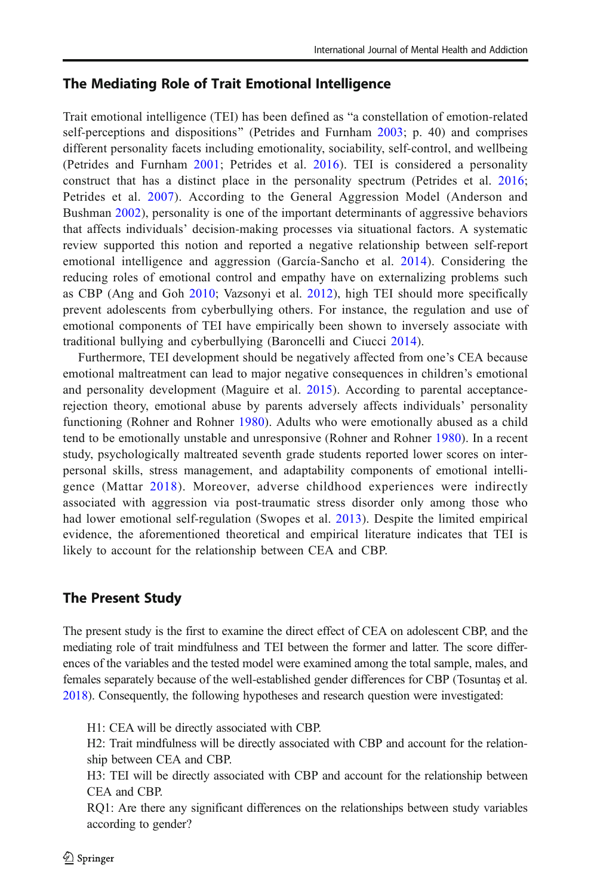# The Mediating Role of Trait Emotional Intelligence

Trait emotional intelligence (TEI) has been defined as "a constellation of emotion-related self-perceptions and dispositions" (Petrides and Furnham [2003](#page-11-0); p. 40) and comprises different personality facets including emotionality, sociability, self-control, and wellbeing (Petrides and Furnham [2001;](#page-11-0) Petrides et al. [2016\)](#page-11-0). TEI is considered a personality construct that has a distinct place in the personality spectrum (Petrides et al. [2016](#page-11-0); Petrides et al. [2007\)](#page-11-0). According to the General Aggression Model (Anderson and Bushman [2002](#page-9-0)), personality is one of the important determinants of aggressive behaviors that affects individuals' decision-making processes via situational factors. A systematic review supported this notion and reported a negative relationship between self-report emotional intelligence and aggression (García-Sancho et al. [2014\)](#page-9-0). Considering the reducing roles of emotional control and empathy have on externalizing problems such as CBP (Ang and Goh [2010](#page-9-0); Vazsonyi et al. [2012\)](#page-11-0), high TEI should more specifically prevent adolescents from cyberbullying others. For instance, the regulation and use of emotional components of TEI have empirically been shown to inversely associate with traditional bullying and cyberbullying (Baroncelli and Ciucci [2014](#page-9-0)).

Furthermore, TEI development should be negatively affected from one's CEA because emotional maltreatment can lead to major negative consequences in children's emotional and personality development (Maguire et al. [2015](#page-10-0)). According to parental acceptancerejection theory, emotional abuse by parents adversely affects individuals' personality functioning (Rohner and Rohner [1980\)](#page-11-0). Adults who were emotionally abused as a child tend to be emotionally unstable and unresponsive (Rohner and Rohner [1980](#page-11-0)). In a recent study, psychologically maltreated seventh grade students reported lower scores on interpersonal skills, stress management, and adaptability components of emotional intelligence (Mattar [2018](#page-10-0)). Moreover, adverse childhood experiences were indirectly associated with aggression via post-traumatic stress disorder only among those who had lower emotional self-regulation (Swopes et al. [2013](#page-11-0)). Despite the limited empirical evidence, the aforementioned theoretical and empirical literature indicates that TEI is likely to account for the relationship between CEA and CBP.

# The Present Study

The present study is the first to examine the direct effect of CEA on adolescent CBP, and the mediating role of trait mindfulness and TEI between the former and latter. The score differences of the variables and the tested model were examined among the total sample, males, and females separately because of the well-established gender differences for CBP (Tosuntaş et al. [2018](#page-11-0)). Consequently, the following hypotheses and research question were investigated:

H1: CEA will be directly associated with CBP.

H2: Trait mindfulness will be directly associated with CBP and account for the relationship between CEA and CBP.

H3: TEI will be directly associated with CBP and account for the relationship between CEA and CBP.

RQ1: Are there any significant differences on the relationships between study variables according to gender?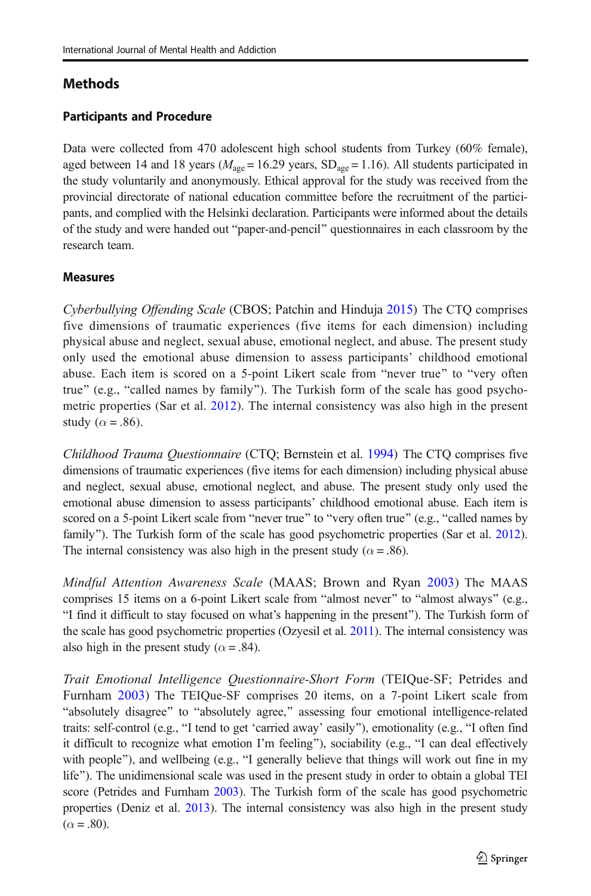# **Methods**

### Participants and Procedure

Data were collected from 470 adolescent high school students from Turkey (60% female), aged between 14 and 18 years ( $M_{\text{age}} = 16.29$  years, SD<sub>age</sub> = 1.16). All students participated in the study voluntarily and anonymously. Ethical approval for the study was received from the provincial directorate of national education committee before the recruitment of the participants, and complied with the Helsinki declaration. Participants were informed about the details of the study and were handed out "paper-and-pencil" questionnaires in each classroom by the research team.

#### Measures

Cyberbullying Offending Scale (CBOS; Patchin and Hinduja [2015](#page-11-0)) The CTQ comprises five dimensions of traumatic experiences (five items for each dimension) including physical abuse and neglect, sexual abuse, emotional neglect, and abuse. The present study only used the emotional abuse dimension to assess participants' childhood emotional abuse. Each item is scored on a 5-point Likert scale from "never true" to "very often true" (e.g., "called names by family"). The Turkish form of the scale has good psychometric properties (Sar et al. [2012](#page-11-0)). The internal consistency was also high in the present study ( $\alpha$  = .86).

Childhood Trauma Questionnaire (CTQ; Bernstein et al. [1994\)](#page-9-0) The CTQ comprises five dimensions of traumatic experiences (five items for each dimension) including physical abuse and neglect, sexual abuse, emotional neglect, and abuse. The present study only used the emotional abuse dimension to assess participants' childhood emotional abuse. Each item is scored on a 5-point Likert scale from "never true" to "very often true" (e.g., "called names by family"). The Turkish form of the scale has good psychometric properties (Sar et al. [2012](#page-11-0)). The internal consistency was also high in the present study ( $\alpha$  = .86).

Mindful Attention Awareness Scale (MAAS; Brown and Ryan [2003](#page-9-0)) The MAAS comprises 15 items on a 6-point Likert scale from "almost never" to "almost always" (e.g., BI find it difficult to stay focused on what's happening in the present^). The Turkish form of the scale has good psychometric properties (Ozyesil et al. [2011\)](#page-10-0). The internal consistency was also high in the present study ( $\alpha$  = .84).

Trait Emotional Intelligence Questionnaire-Short Form (TEIQue-SF; Petrides and Furnham [2003](#page-11-0)) The TEIQue-SF comprises 20 items, on a 7-point Likert scale from "absolutely disagree" to "absolutely agree," assessing four emotional intelligence-related traits: self-control (e.g., "I tend to get 'carried away' easily"), emotionality (e.g., "I often find it difficult to recognize what emotion I'm feeling"), sociability (e.g., "I can deal effectively with people"), and wellbeing (e.g., "I generally believe that things will work out fine in my life"). The unidimensional scale was used in the present study in order to obtain a global TEI score (Petrides and Furnham [2003\)](#page-11-0). The Turkish form of the scale has good psychometric properties (Deniz et al. [2013](#page-9-0)). The internal consistency was also high in the present study  $(\alpha = .80)$ .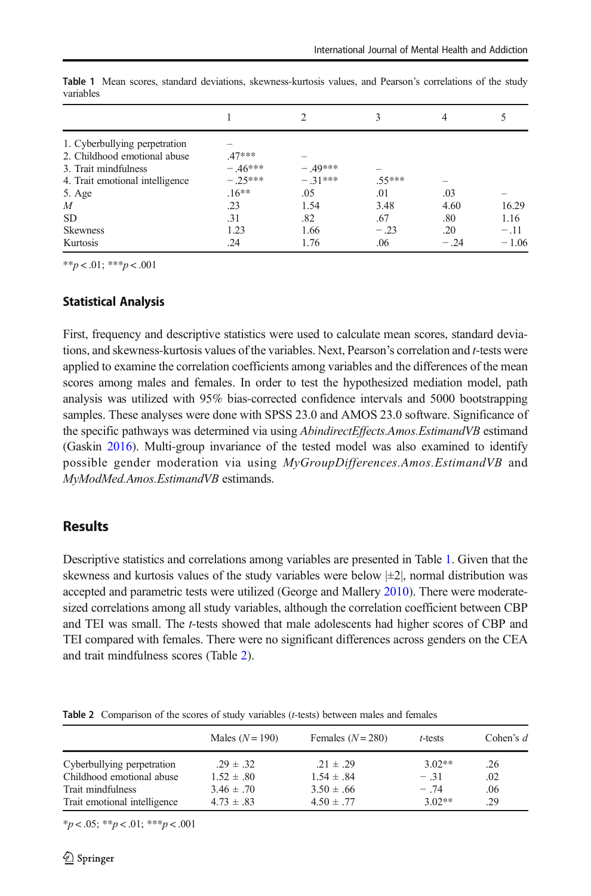| 1. Cyberbullying perpetration   |           |           |        |        |         |
|---------------------------------|-----------|-----------|--------|--------|---------|
| 2. Childhood emotional abuse    | $.47***$  |           |        |        |         |
| 3. Trait mindfulness            | $-.46***$ | $-.49***$ |        |        |         |
| 4. Trait emotional intelligence | $-.25***$ | $-.31***$ | .55*** | -      |         |
| 5. Age                          | $.16**$   | .05       | .01    | .03    |         |
| $\boldsymbol{M}$                | .23       | 1.54      | 3.48   | 4.60   | 16.29   |
| <b>SD</b>                       | .31       | .82       | .67    | .80    | 1.16    |
| <b>Skewness</b>                 | 1.23      | 1.66      | $-.23$ | .20    | $-.11$  |
| Kurtosis                        | .24       | 1.76      | .06    | $-.24$ | $-1.06$ |

Table 1 Mean scores, standard deviations, skewness-kurtosis values, and Pearson's correlations of the study variables

 $**p < .01$ ;  $***p < .001$ 

#### Statistical Analysis

First, frequency and descriptive statistics were used to calculate mean scores, standard deviations, and skewness-kurtosis values of the variables. Next, Pearson's correlation and t-tests were applied to examine the correlation coefficients among variables and the differences of the mean scores among males and females. In order to test the hypothesized mediation model, path analysis was utilized with 95% bias-corrected confidence intervals and 5000 bootstrapping samples. These analyses were done with SPSS 23.0 and AMOS 23.0 software. Significance of the specific pathways was determined via using *AbindirectEffects.Amos.EstimandVB* estimand (Gaskin [2016](#page-10-0)). Multi-group invariance of the tested model was also examined to identify possible gender moderation via using *MyGroupDifferences.Amos.EstimandVB* and MyModMed.Amos.EstimandVB estimands.

### **Results**

Descriptive statistics and correlations among variables are presented in Table 1. Given that the skewness and kurtosis values of the study variables were below  $|\pm 2|$ , normal distribution was accepted and parametric tests were utilized (George and Mallery [2010](#page-10-0)). There were moderatesized correlations among all study variables, although the correlation coefficient between CBP and TEI was small. The *t*-tests showed that male adolescents had higher scores of CBP and TEI compared with females. There were no significant differences across genders on the CEA and trait mindfulness scores (Table 2).

Table 2 Comparison of the scores of study variables (t-tests) between males and females

|                              | Males $(N=190)$ | Females $(N = 280)$ | $t$ -tests | Cohen's $d$ |
|------------------------------|-----------------|---------------------|------------|-------------|
| Cyberbullying perpetration   | $.29 \pm .32$   | $.21 \pm .29$       | $3.02**$   | .26         |
| Childhood emotional abuse    | $1.52 \pm .80$  | $1.54 \pm .84$      | $-.31$     | .02         |
| Trait mindfulness            | $3.46 \pm .70$  | $3.50 \pm .66$      | $-74$      | .06         |
| Trait emotional intelligence | $4.73 \pm .83$  | $4.50 \pm .77$      | $3.02**$   | .29         |

 $*_{p < .05;}$  \*\* $p < .01;$  \*\*\* $p < .001$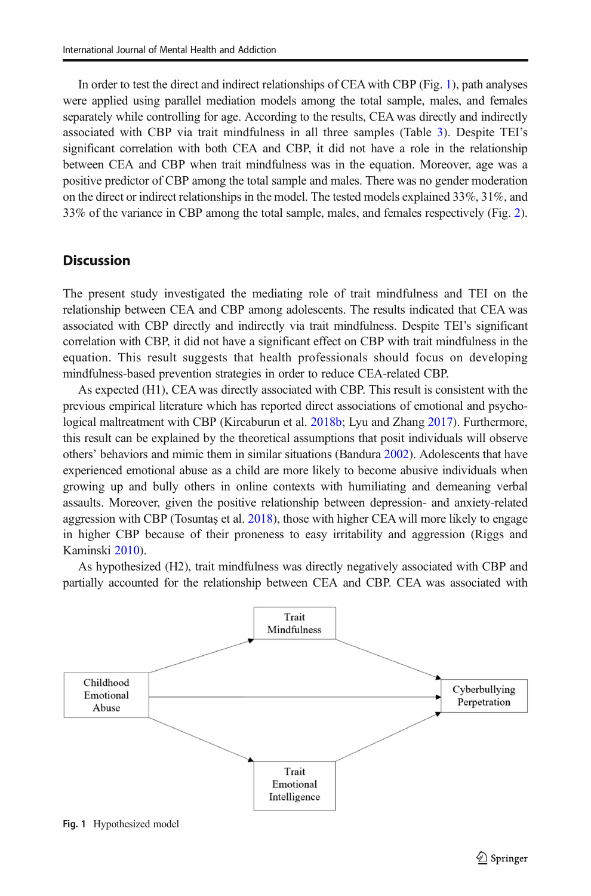In order to test the direct and indirect relationships of CEA with CBP (Fig. 1), path analyses were applied using parallel mediation models among the total sample, males, and females separately while controlling for age. According to the results, CEA was directly and indirectly associated with CBP via trait mindfulness in all three samples (Table [3\)](#page-7-0). Despite TEI's significant correlation with both CEA and CBP, it did not have a role in the relationship between CEA and CBP when trait mindfulness was in the equation. Moreover, age was a positive predictor of CBP among the total sample and males. There was no gender moderation on the direct or indirect relationships in the model. The tested models explained 33%, 31%, and 33% of the variance in CBP among the total sample, males, and females respectively (Fig. [2](#page-7-0)).

# **Discussion**

The present study investigated the mediating role of trait mindfulness and TEI on the relationship between CEA and CBP among adolescents. The results indicated that CEA was associated with CBP directly and indirectly via trait mindfulness. Despite TEI's significant correlation with CBP, it did not have a significant effect on CBP with trait mindfulness in the equation. This result suggests that health professionals should focus on developing mindfulness-based prevention strategies in order to reduce CEA-related CBP.

As expected (H1), CEA was directly associated with CBP. This result is consistent with the previous empirical literature which has reported direct associations of emotional and psychological maltreatment with CBP (Kircaburun et al. [2018b](#page-10-0); Lyu and Zhang [2017\)](#page-10-0). Furthermore, this result can be explained by the theoretical assumptions that posit individuals will observe others' behaviors and mimic them in similar situations (Bandura [2002](#page-9-0)). Adolescents that have experienced emotional abuse as a child are more likely to become abusive individuals when growing up and bully others in online contexts with humiliating and demeaning verbal assaults. Moreover, given the positive relationship between depression- and anxiety-related aggression with CBP (Tosuntaş et al. [2018\)](#page-11-0), those with higher CEA will more likely to engage in higher CBP because of their proneness to easy irritability and aggression (Riggs and Kaminski [2010\)](#page-11-0).

As hypothesized (H2), trait mindfulness was directly negatively associated with CBP and partially accounted for the relationship between CEA and CBP. CEA was associated with



Fig. 1 Hypothesized model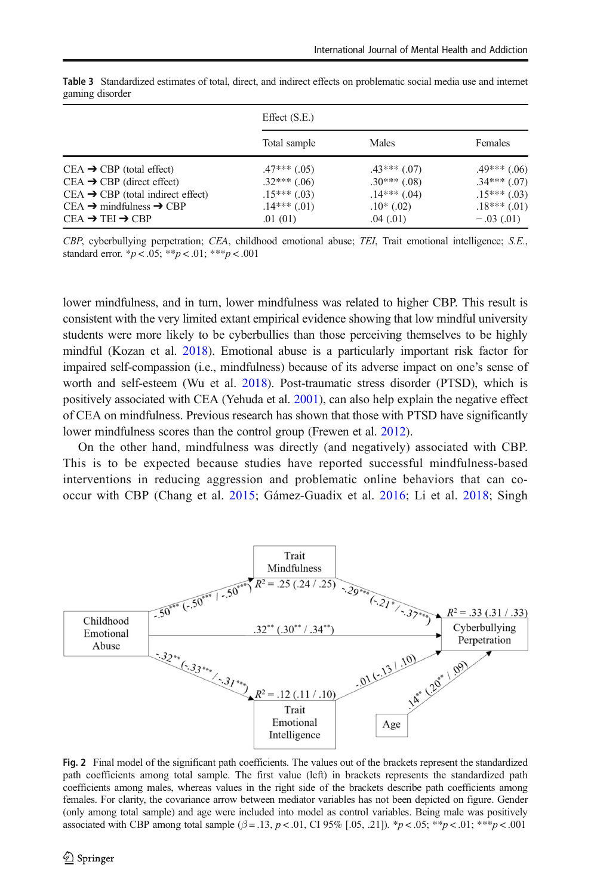|                                                 | Effect $(S.E.)$  |                |                  |  |
|-------------------------------------------------|------------------|----------------|------------------|--|
|                                                 | Total sample     | Males          | Females          |  |
| $CEA \rightarrow CBP$ (total effect)            | $.47***$ (.05)   | $.43***$ (.07) | $.49***$ (.06)   |  |
| $CEA \rightarrow CBP$ (direct effect)           | $.32***$ (.06)   | $.30***$ (.08) | $.34***(.07)$    |  |
| $CEA \rightarrow CBP$ (total indirect effect)   | $.15***$ (.03)   | $.14***$ (.04) | $.15***$ (.03)   |  |
| $CEA \rightarrow$ mindfulness $\rightarrow$ CBP | $.14***$ $(.01)$ | $.10*(.02)$    | $.18***$ $(.01)$ |  |
| $CEA \rightarrow TEI \rightarrow CBP$           | .01(01)          | .04(01)        | $-.03(.01)$      |  |

<span id="page-7-0"></span>Table 3 Standardized estimates of total, direct, and indirect effects on problematic social media use and internet gaming disorder

CBP, cyberbullying perpetration; CEA, childhood emotional abuse; TEI, Trait emotional intelligence; S.E., standard error.  $*_{p} < .05$ ;  $*_{p} < .01$ ;  $*_{p} < .001$ 

lower mindfulness, and in turn, lower mindfulness was related to higher CBP. This result is consistent with the very limited extant empirical evidence showing that low mindful university students were more likely to be cyberbullies than those perceiving themselves to be highly mindful (Kozan et al. [2018\)](#page-10-0). Emotional abuse is a particularly important risk factor for impaired self-compassion (i.e., mindfulness) because of its adverse impact on one's sense of worth and self-esteem (Wu et al. [2018\)](#page-11-0). Post-traumatic stress disorder (PTSD), which is positively associated with CEA (Yehuda et al. [2001](#page-11-0)), can also help explain the negative effect of CEA on mindfulness. Previous research has shown that those with PTSD have significantly lower mindfulness scores than the control group (Frewen et al. [2012\)](#page-9-0).

On the other hand, mindfulness was directly (and negatively) associated with CBP. This is to be expected because studies have reported successful mindfulness-based interventions in reducing aggression and problematic online behaviors that can cooccur with CBP (Chang et al. [2015;](#page-9-0) Gámez-Guadix et al. [2016;](#page-9-0) Li et al. [2018;](#page-10-0) Singh



Fig. 2 Final model of the significant path coefficients. The values out of the brackets represent the standardized path coefficients among total sample. The first value (left) in brackets represents the standardized path coefficients among males, whereas values in the right side of the brackets describe path coefficients among females. For clarity, the covariance arrow between mediator variables has not been depicted on figure. Gender (only among total sample) and age were included into model as control variables. Being male was positively associated with CBP among total sample ( $\beta$  = .13, p < .01, CI 95% [.05, .21]). \*p < .05; \*\*p < .01; \*\*\*p < .001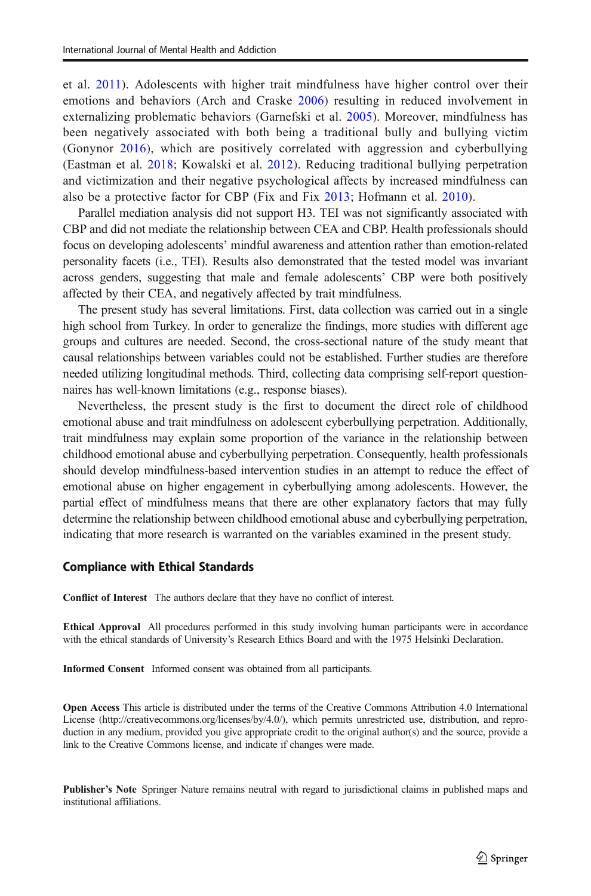et al. [2011](#page-11-0)). Adolescents with higher trait mindfulness have higher control over their emotions and behaviors (Arch and Craske [2006](#page-9-0)) resulting in reduced involvement in externalizing problematic behaviors (Garnefski et al. [2005](#page-10-0)). Moreover, mindfulness has been negatively associated with both being a traditional bully and bullying victim (Gonynor [2016\)](#page-10-0), which are positively correlated with aggression and cyberbullying (Eastman et al. [2018](#page-9-0); Kowalski et al. [2012](#page-10-0)). Reducing traditional bullying perpetration and victimization and their negative psychological affects by increased mindfulness can also be a protective factor for CBP (Fix and Fix [2013;](#page-9-0) Hofmann et al. [2010](#page-10-0)).

Parallel mediation analysis did not support H3. TEI was not significantly associated with CBP and did not mediate the relationship between CEA and CBP. Health professionals should focus on developing adolescents' mindful awareness and attention rather than emotion-related personality facets (i.e., TEI). Results also demonstrated that the tested model was invariant across genders, suggesting that male and female adolescents' CBP were both positively affected by their CEA, and negatively affected by trait mindfulness.

The present study has several limitations. First, data collection was carried out in a single high school from Turkey. In order to generalize the findings, more studies with different age groups and cultures are needed. Second, the cross-sectional nature of the study meant that causal relationships between variables could not be established. Further studies are therefore needed utilizing longitudinal methods. Third, collecting data comprising self-report questionnaires has well-known limitations (e.g., response biases).

Nevertheless, the present study is the first to document the direct role of childhood emotional abuse and trait mindfulness on adolescent cyberbullying perpetration. Additionally, trait mindfulness may explain some proportion of the variance in the relationship between childhood emotional abuse and cyberbullying perpetration. Consequently, health professionals should develop mindfulness-based intervention studies in an attempt to reduce the effect of emotional abuse on higher engagement in cyberbullying among adolescents. However, the partial effect of mindfulness means that there are other explanatory factors that may fully determine the relationship between childhood emotional abuse and cyberbullying perpetration, indicating that more research is warranted on the variables examined in the present study.

#### Compliance with Ethical Standards

Conflict of Interest The authors declare that they have no conflict of interest.

Ethical Approval All procedures performed in this study involving human participants were in accordance with the ethical standards of University's Research Ethics Board and with the 1975 Helsinki Declaration.

Informed Consent Informed consent was obtained from all participants.

Open Access This article is distributed under the terms of the Creative Commons Attribution 4.0 International License (http://creativecommons.org/licenses/by/4.0/), which permits unrestricted use, distribution, and reproduction in any medium, provided you give appropriate credit to the original author(s) and the source, provide a link to the Creative Commons license, and indicate if changes were made.

Publisher's Note Springer Nature remains neutral with regard to jurisdictional claims in published maps and institutional affiliations.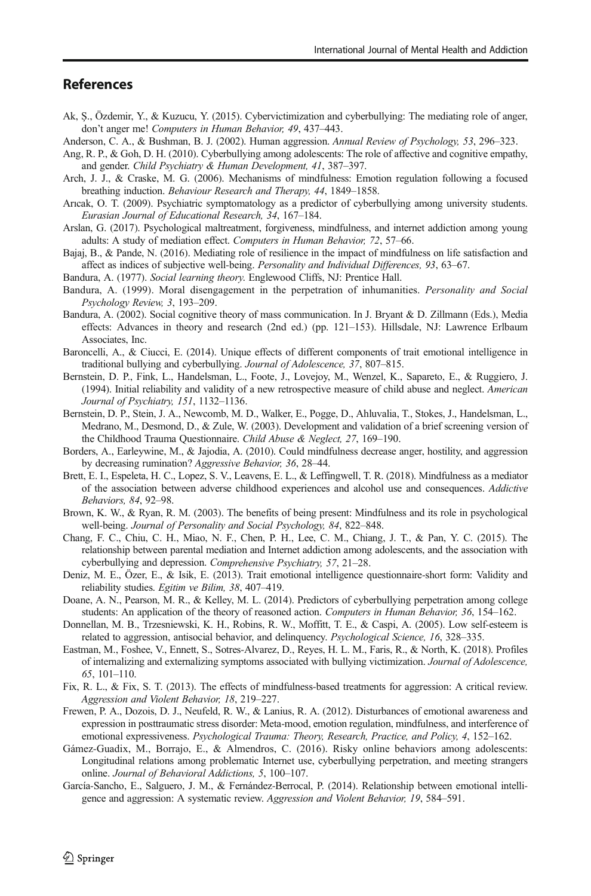# <span id="page-9-0"></span>**References**

- Ak, Ş., Özdemir, Y., & Kuzucu, Y. (2015). Cybervictimization and cyberbullying: The mediating role of anger, don't anger me! Computers in Human Behavior, 49, 437–443.
- Anderson, C. A., & Bushman, B. J. (2002). Human aggression. Annual Review of Psychology, 53, 296–323.
- Ang, R. P., & Goh, D. H. (2010). Cyberbullying among adolescents: The role of affective and cognitive empathy, and gender. Child Psychiatry & Human Development, 41, 387–397.
- Arch, J. J., & Craske, M. G. (2006). Mechanisms of mindfulness: Emotion regulation following a focused breathing induction. Behaviour Research and Therapy, 44, 1849–1858.
- Arıcak, O. T. (2009). Psychiatric symptomatology as a predictor of cyberbullying among university students. Eurasian Journal of Educational Research, 34, 167–184.
- Arslan, G. (2017). Psychological maltreatment, forgiveness, mindfulness, and internet addiction among young adults: A study of mediation effect. Computers in Human Behavior, 72, 57–66.
- Bajaj, B., & Pande, N. (2016). Mediating role of resilience in the impact of mindfulness on life satisfaction and affect as indices of subjective well-being. Personality and Individual Differences, 93, 63–67.
- Bandura, A. (1977). Social learning theory. Englewood Cliffs, NJ: Prentice Hall.
- Bandura, A. (1999). Moral disengagement in the perpetration of inhumanities. Personality and Social Psychology Review, 3, 193–209.
- Bandura, A. (2002). Social cognitive theory of mass communication. In J. Bryant & D. Zillmann (Eds.), Media effects: Advances in theory and research (2nd ed.) (pp. 121–153). Hillsdale, NJ: Lawrence Erlbaum Associates, Inc.
- Baroncelli, A., & Ciucci, E. (2014). Unique effects of different components of trait emotional intelligence in traditional bullying and cyberbullying. Journal of Adolescence, 37, 807–815.
- Bernstein, D. P., Fink, L., Handelsman, L., Foote, J., Lovejoy, M., Wenzel, K., Sapareto, E., & Ruggiero, J. (1994). Initial reliability and validity of a new retrospective measure of child abuse and neglect. American Journal of Psychiatry, 151, 1132–1136.
- Bernstein, D. P., Stein, J. A., Newcomb, M. D., Walker, E., Pogge, D., Ahluvalia, T., Stokes, J., Handelsman, L., Medrano, M., Desmond, D., & Zule, W. (2003). Development and validation of a brief screening version of the Childhood Trauma Questionnaire. Child Abuse & Neglect, 27, 169–190.
- Borders, A., Earleywine, M., & Jajodia, A. (2010). Could mindfulness decrease anger, hostility, and aggression by decreasing rumination? Aggressive Behavior, 36, 28–44.
- Brett, E. I., Espeleta, H. C., Lopez, S. V., Leavens, E. L., & Leffingwell, T. R. (2018). Mindfulness as a mediator of the association between adverse childhood experiences and alcohol use and consequences. Addictive Behaviors, 84, 92–98.
- Brown, K. W., & Ryan, R. M. (2003). The benefits of being present: Mindfulness and its role in psychological well-being. Journal of Personality and Social Psychology, 84, 822–848.
- Chang, F. C., Chiu, C. H., Miao, N. F., Chen, P. H., Lee, C. M., Chiang, J. T., & Pan, Y. C. (2015). The relationship between parental mediation and Internet addiction among adolescents, and the association with cyberbullying and depression. Comprehensive Psychiatry, 57, 21–28.
- Deniz, M. E., Özer, E., & Isik, E. (2013). Trait emotional intelligence questionnaire-short form: Validity and reliability studies. Egitim ve Bilim, 38, 407–419.
- Doane, A. N., Pearson, M. R., & Kelley, M. L. (2014). Predictors of cyberbullying perpetration among college students: An application of the theory of reasoned action. Computers in Human Behavior, 36, 154–162.
- Donnellan, M. B., Trzesniewski, K. H., Robins, R. W., Moffitt, T. E., & Caspi, A. (2005). Low self-esteem is related to aggression, antisocial behavior, and delinquency. Psychological Science, 16, 328–335.
- Eastman, M., Foshee, V., Ennett, S., Sotres-Alvarez, D., Reyes, H. L. M., Faris, R., & North, K. (2018). Profiles of internalizing and externalizing symptoms associated with bullying victimization. Journal of Adolescence, 65, 101–110.
- Fix, R. L., & Fix, S. T. (2013). The effects of mindfulness-based treatments for aggression: A critical review. Aggression and Violent Behavior, 18, 219–227.
- Frewen, P. A., Dozois, D. J., Neufeld, R. W., & Lanius, R. A. (2012). Disturbances of emotional awareness and expression in posttraumatic stress disorder: Meta-mood, emotion regulation, mindfulness, and interference of emotional expressiveness. Psychological Trauma: Theory, Research, Practice, and Policy, 4, 152–162.
- Gámez-Guadix, M., Borrajo, E., & Almendros, C. (2016). Risky online behaviors among adolescents: Longitudinal relations among problematic Internet use, cyberbullying perpetration, and meeting strangers online. Journal of Behavioral Addictions, 5, 100–107.
- García-Sancho, E., Salguero, J. M., & Fernández-Berrocal, P. (2014). Relationship between emotional intelligence and aggression: A systematic review. Aggression and Violent Behavior, 19, 584–591.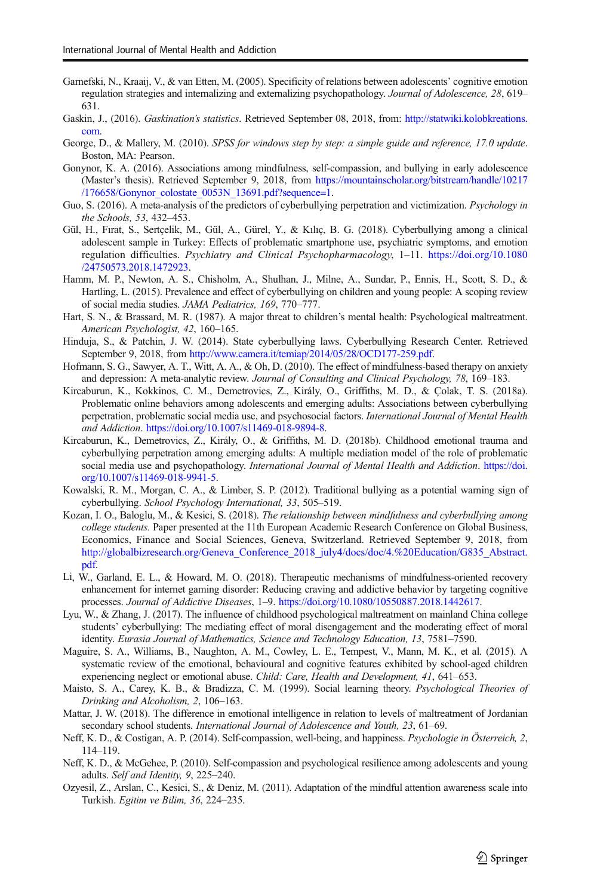- <span id="page-10-0"></span>Garnefski, N., Kraaij, V., & van Etten, M. (2005). Specificity of relations between adolescents' cognitive emotion regulation strategies and internalizing and externalizing psychopathology. Journal of Adolescence, 28, 619– 631.
- Gaskin, J., (2016). Gaskination's statistics. Retrieved September 08, 2018, from: [http://statwiki.kolobkreations.](http://statwiki.kolobkreations.com) [com.](http://statwiki.kolobkreations.com)
- George, D., & Mallery, M. (2010). SPSS for windows step by step: a simple guide and reference, 17.0 update. Boston, MA: Pearson.
- Gonynor, K. A. (2016). Associations among mindfulness, self-compassion, and bullying in early adolescence (Master's thesis). Retrieved September 9, 2018, from [https://mountainscholar.org/bitstream/handle/10217](https://mountainscholar.org/bitstream/handle/10217/176658/Gonynor_colostate_0053N_13691.pdf?sequence=1) [/176658/Gonynor\\_colostate\\_0053N\\_13691.pdf?sequence=1](https://mountainscholar.org/bitstream/handle/10217/176658/Gonynor_colostate_0053N_13691.pdf?sequence=1).
- Guo, S. (2016). A meta-analysis of the predictors of cyberbullying perpetration and victimization. *Psychology in* the Schools, 53, 432–453.
- Gül, H., Fırat, S., Sertçelik, M., Gül, A., Gürel, Y., & Kılıç, B. G. (2018). Cyberbullying among a clinical adolescent sample in Turkey: Effects of problematic smartphone use, psychiatric symptoms, and emotion regulation difficulties. Psychiatry and Clinical Psychopharmacology, 1–11. [https://doi.org/10.1080](https://doi.org/10.1080/24750573.2018.1472923) [/24750573.2018.1472923](https://doi.org/10.1080/24750573.2018.1472923).
- Hamm, M. P., Newton, A. S., Chisholm, A., Shulhan, J., Milne, A., Sundar, P., Ennis, H., Scott, S. D., & Hartling, L. (2015). Prevalence and effect of cyberbullying on children and young people: A scoping review of social media studies. JAMA Pediatrics, 169, 770–777.
- Hart, S. N., & Brassard, M. R. (1987). A major threat to children's mental health: Psychological maltreatment. American Psychologist, 42, 160–165.
- Hinduja, S., & Patchin, J. W. (2014). State cyberbullying laws. Cyberbullying Research Center. Retrieved September 9, 2018, from <http://www.camera.it/temiap/2014/05/28/OCD177-259.pdf>.
- Hofmann, S. G., Sawyer, A. T., Witt, A. A., & Oh, D. (2010). The effect of mindfulness-based therapy on anxiety and depression: A meta-analytic review. Journal of Consulting and Clinical Psychology, 78, 169–183.
- Kircaburun, K., Kokkinos, C. M., Demetrovics, Z., Király, O., Griffiths, M. D., & Çolak, T. S. (2018a). Problematic online behaviors among adolescents and emerging adults: Associations between cyberbullying perpetration, problematic social media use, and psychosocial factors. International Journal of Mental Health and Addiction. <https://doi.org/10.1007/s11469-018-9894-8>.
- Kircaburun, K., Demetrovics, Z., Király, O., & Griffiths, M. D. (2018b). Childhood emotional trauma and cyberbullying perpetration among emerging adults: A multiple mediation model of the role of problematic social media use and psychopathology. International Journal of Mental Health and Addiction. [https://doi.](https://doi.org/10.1007/s11469-018-9941-5) [org/10.1007/s11469-018-9941-5.](https://doi.org/10.1007/s11469-018-9941-5)
- Kowalski, R. M., Morgan, C. A., & Limber, S. P. (2012). Traditional bullying as a potential warning sign of cyberbullying. School Psychology International, 33, 505–519.
- Kozan, I. O., Baloglu, M., & Kesici, S. (2018). The relationship between mindfulness and cyberbullying among college students. Paper presented at the 11th European Academic Research Conference on Global Business, Economics, Finance and Social Sciences, Geneva, Switzerland. Retrieved September 9, 2018, from [http://globalbizresearch.org/Geneva\\_Conference\\_2018\\_july4/docs/doc/4.%20Education/G835\\_Abstract.](http://globalbizresearch.org/Geneva_Conference_2018_july4/docs/doc/4.%20Education/G835_Abstract.pdf) [pdf.](http://globalbizresearch.org/Geneva_Conference_2018_july4/docs/doc/4.%20Education/G835_Abstract.pdf)
- Li, W., Garland, E. L., & Howard, M. O. (2018). Therapeutic mechanisms of mindfulness-oriented recovery enhancement for internet gaming disorder: Reducing craving and addictive behavior by targeting cognitive processes. Journal of Addictive Diseases, 1–9. [https://doi.org/10.1080/10550887.2018.1442617.](https://doi.org/10.1080/10550887.2018.1442617)
- Lyu, W., & Zhang, J. (2017). The influence of childhood psychological maltreatment on mainland China college students' cyberbullying: The mediating effect of moral disengagement and the moderating effect of moral identity. Eurasia Journal of Mathematics, Science and Technology Education, 13, 7581–7590.
- Maguire, S. A., Williams, B., Naughton, A. M., Cowley, L. E., Tempest, V., Mann, M. K., et al. (2015). A systematic review of the emotional, behavioural and cognitive features exhibited by school-aged children experiencing neglect or emotional abuse. Child: Care, Health and Development, 41, 641-653.
- Maisto, S. A., Carey, K. B., & Bradizza, C. M. (1999). Social learning theory. Psychological Theories of Drinking and Alcoholism, 2, 106–163.
- Mattar, J. W. (2018). The difference in emotional intelligence in relation to levels of maltreatment of Jordanian secondary school students. International Journal of Adolescence and Youth, 23, 61–69.
- Neff, K. D., & Costigan, A. P. (2014). Self-compassion, well-being, and happiness. Psychologie in Österreich, 2, 114–119.
- Neff, K. D., & McGehee, P. (2010). Self-compassion and psychological resilience among adolescents and young adults. Self and Identity, 9, 225–240.
- Ozyesil, Z., Arslan, C., Kesici, S., & Deniz, M. (2011). Adaptation of the mindful attention awareness scale into Turkish. Egitim ve Bilim, 36, 224–235.